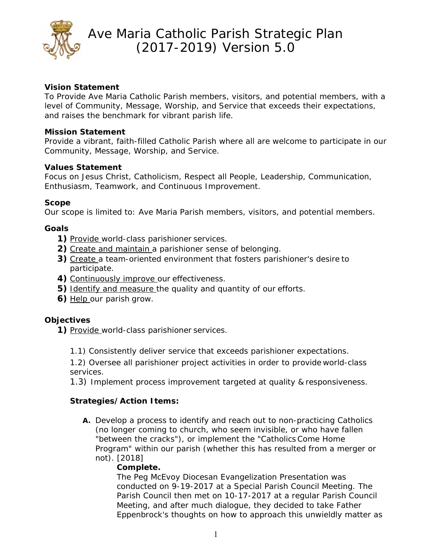

## **Vision Statement**

To Provide Ave Maria Catholic Parish members, visitors, and potential members, with a level of Community, Message, Worship, and Service that exceeds their expectations, and raises the benchmark for vibrant parish life.

### **Mission Statement**

Provide a vibrant, faith-filled Catholic Parish where all are welcome to participate in our Community, Message, Worship, and Service.

### **Values Statement**

Focus on Jesus Christ, Catholicism, Respect all People, Leadership, Communication, Enthusiasm, Teamwork, and Continuous Improvement.

### **Scope**

Our scope is limited to: Ave Maria Parish members, visitors, and potential members.

### **Goals**

- **1)** *Provide* world-class parishioner services.
- **2)** *Create and maintain* a parishioner sense of belonging.
- **3)** *Create* a team-oriented environment that fosters parishioner's desire to participate.
- **4)** *Continuously improve* our effectiveness.
- **5)** *Identify and measure* the quality and quantity of our efforts.
- **6)** *Help* our parish grow.

## **Objectives**

**1)** *Provide* world-class parishioner services.

1.1) Consistently deliver service that exceeds parishioner expectations.

1.2) Oversee all parishioner project activities in order to provide world-class services.

1.3) Implement process improvement targeted at quality & responsiveness.

## **Strategies/Action Items:**

**A.** Develop a process to identify and reach out to non-practicing Catholics (no longer coming to church, who seem invisible, or who have fallen "between the cracks"), or implement the "Catholics Come Home Program" within our parish (whether this has resulted from a merger or not). [2018]

#### **Complete.**

The Peg McEvoy Diocesan Evangelization Presentation was conducted on 9-19-2017 at a Special Parish Council Meeting. The Parish Council then met on 10-17-2017 at a regular Parish Council Meeting, and after much dialogue, they decided to take Father Eppenbrock's thoughts on how to approach this unwieldly matter as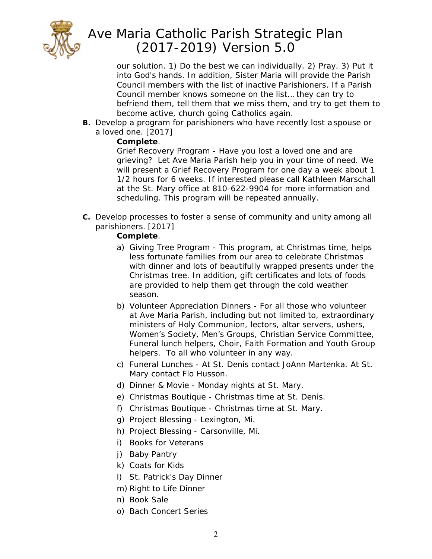

our solution. 1) Do the best we can individually. 2) Pray. 3) Put it into God's hands. In addition, Sister Maria will provide the Parish Council members with the list of inactive Parishioners. If a Parish Council member knows someone on the list… they can try to befriend them, tell them that we miss them, and try to get them to become active, church going Catholics again.

**B.** Develop a program for parishioners who have recently lost a spouse or a loved one. [2017]

## **Complete**.

Grief Recovery Program - Have you lost a loved one and are grieving? Let Ave Maria Parish help you in your time of need. We will present a Grief Recovery Program for one day a week about 1 1/2 hours for 6 weeks. If interested please call Kathleen Marschall at the St. Mary office at 810-622-9904 for more information and scheduling. This program will be repeated annually.

**C.** Develop processes to foster a sense of community and unity among all parishioners. [2017]

## **Complete**.

- a) Giving Tree Program This program, at Christmas time, helps less fortunate families from our area to celebrate Christmas with dinner and lots of beautifully wrapped presents under the Christmas tree. In addition, gift certificates and lots of foods are provided to help them get through the cold weather season.
- b) Volunteer Appreciation Dinners For all those who volunteer at Ave Maria Parish, including but not limited to, extraordinary ministers of Holy Communion, lectors, altar servers, ushers, Women's Society, Men's Groups, Christian Service Committee, Funeral lunch helpers, Choir, Faith Formation and Youth Group helpers. To all who volunteer in any way.
- c) Funeral Lunches At St. Denis contact JoAnn Martenka. At St. Mary contact Flo Husson.
- d) Dinner & Movie Monday nights at St. Mary.
- e) Christmas Boutique Christmas time at St. Denis.
- f) Christmas Boutique Christmas time at St. Mary.
- g) Project Blessing Lexington, Mi.
- h) Project Blessing Carsonville, Mi.
- i) Books for Veterans
- j) Baby Pantry
- k) Coats for Kids
- l) St. Patrick's Day Dinner
- m) Right to Life Dinner
- n) Book Sale
- o) Bach Concert Series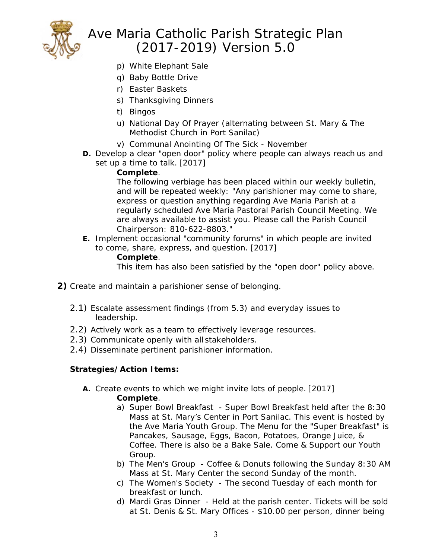

- p) White Elephant Sale
- q) Baby Bottle Drive
- r) Easter Baskets
- s) Thanksgiving Dinners
- t) Bingos
- u) National Day Of Prayer (alternating between St. Mary & The Methodist Church in Port Sanilac)
- v) Communal Anointing Of The Sick November
- **D.** Develop a clear "open door" policy where people can always reach us and set up a time to talk. [2017]

### **Complete**.

The following verbiage has been placed within our weekly bulletin, and will be repeated weekly: "Any parishioner may come to share, express or question anything regarding Ave Maria Parish at a regularly scheduled Ave Maria Pastoral Parish Council Meeting. We are always available to assist you. Please call the Parish Council Chairperson: 810-622-8803."

**E.** Implement occasional "community forums" in which people are invited to come, share, express, and question. [2017]

### **Complete**.

This item has also been satisfied by the "open door" policy above.

- **2)** *Create and maintain* a parishioner sense of belonging.
	- 2.1) Escalate assessment findings (from 5.3) and everyday issues to leadership.
	- 2.2) Actively work as a team to effectively leverage resources.
	- 2.3) Communicate openly with all stakeholders.
	- 2.4) Disseminate pertinent parishioner information.

## **Strategies/Action Items:**

- **A.** Create events to which we might invite lots of people. [2017] **Complete**.
	- a) Super Bowl Breakfast Super Bowl Breakfast held after the 8:30 Mass at St. Mary's Center in Port Sanilac. This event is hosted by the Ave Maria Youth Group. The Menu for the "Super Breakfast" is Pancakes, Sausage, Eggs, Bacon, Potatoes, Orange Juice, & Coffee. There is also be a Bake Sale. Come & Support our Youth Group.
	- b) The Men's Group Coffee & Donuts following the Sunday 8:30 AM Mass at St. Mary Center the second Sunday of the month.
	- c) The Women's Society The second Tuesday of each month for breakfast or lunch.
	- d) Mardi Gras Dinner Held at the parish center. Tickets will be sold at St. Denis & St. Mary Offices - \$10.00 per person, dinner being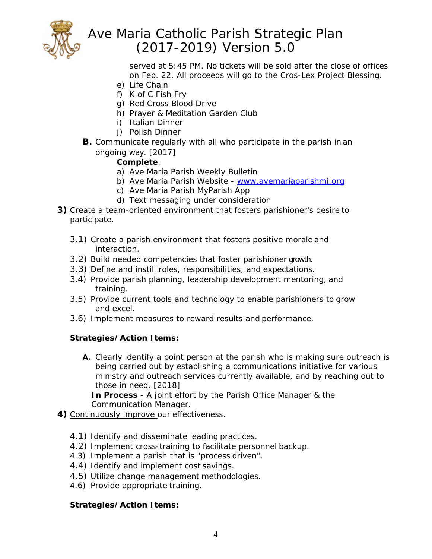

served at 5:45 PM. No tickets will be sold after the close of offices on Feb. 22. All proceeds will go to the Cros-Lex Project Blessing.

- e) Life Chain
- f) K of C Fish Fry
- g) Red Cross Blood Drive
- h) Prayer & Meditation Garden Club
- i) Italian Dinner
- j) Polish Dinner
- **B.** Communicate regularly with all who participate in the parish in an ongoing way. [2017]

## **Complete**.

- a) Ave Maria Parish Weekly Bulletin
- b) Ave Maria Parish Website www.avemariaparishmi.org
- c) Ave Maria Parish MyParish App
- d) Text messaging under consideration
- **3)** *Create* a team-oriented environment that fosters parishioner's desire to participate.
	- 3.1) Create a parish environment that fosters positive morale and interaction.
	- 3.2) Build needed competencies that foster parishioner growth.
	- 3.3) Define and instill roles, responsibilities, and expectations.
	- 3.4) Provide parish planning, leadership development mentoring, and training.
	- 3.5) Provide current tools and technology to enable parishioners to grow and excel.
	- 3.6) Implement measures to reward results and performance.

## **Strategies/Action Items:**

**A.** Clearly identify a point person at the parish who is making sure outreach is being carried out by establishing a communications initiative for various ministry and outreach services currently available, and by reaching out to those in need. [2018]

**In Process** - A joint effort by the Parish Office Manager & the Communication Manager.

- **4)** *Continuously improve* our effectiveness.
	- 4.1) Identify and disseminate leading practices.
	- 4.2) Implement cross-training to facilitate personnel backup.
	- 4.3) Implement a parish that is "process driven".
	- 4.4) Identify and implement cost savings.
	- 4.5) Utilize change management methodologies.
	- 4.6) Provide appropriate training.

## **Strategies/Action Items:**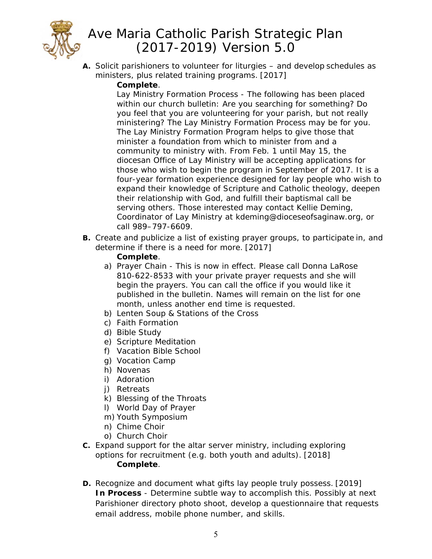

**A.** Solicit parishioners to volunteer for liturgies – and develop schedules as ministers, plus related training programs. [2017]

## **Complete**.

Lay Ministry Formation Process - The following has been placed within our church bulletin: Are you searching for something? Do you feel that you are volunteering for your parish, but not really ministering? The Lay Ministry Formation Process may be for you. The Lay Ministry Formation Program helps to give those that minister a foundation from which to minister from and a community to ministry with. From Feb. 1 until May 15, the diocesan Office of Lay Ministry will be accepting applications for those who wish to begin the program in September of 2017. It is a four-year formation experience designed for lay people who wish to expand their knowledge of Scripture and Catholic theology, deepen their relationship with God, and fulfill their baptismal call be serving others. Those interested may contact Kellie Deming, Coordinator of Lay Ministry at kdeming@dioceseofsaginaw.org, or call 989–797-6609.

**B.** Create and publicize a list of existing prayer groups, to participate in, and determine if there is a need for more. [2017]

## **Complete**.

- a) Prayer Chain This is now in effect. Please call Donna LaRose 810-622-8533 with your private prayer requests and she will begin the prayers. You can call the office if you would like it published in the bulletin. Names will remain on the list for one month, unless another end time is requested.
- b) Lenten Soup & Stations of the Cross
- c) Faith Formation
- d) Bible Study
- e) Scripture Meditation
- f) Vacation Bible School
- g) Vocation Camp
- h) Novenas
- i) Adoration
- j) Retreats
- k) Blessing of the Throats
- l) World Day of Prayer
- m) Youth Symposium
- n) Chime Choir
- o) Church Choir
- **C.** Expand support for the altar server ministry, including exploring options for recruitment (e.g. both youth and adults). [2018]  **Complete**.
- **D.** Recognize and document what gifts lay people truly possess. [2019] **In Process** - Determine subtle way to accomplish this. Possibly at next Parishioner directory photo shoot, develop a questionnaire that requests email address, mobile phone number, and skills.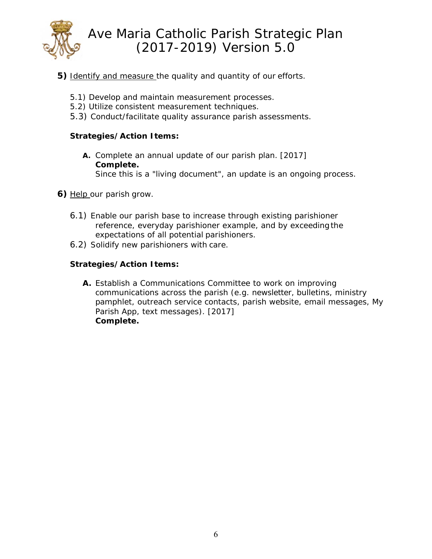

- **5)** *Identify and measure* the quality and quantity of our efforts.
	- 5.1) Develop and maintain measurement processes.
	- 5.2) Utilize consistent measurement techniques.
	- 5.3) Conduct/facilitate quality assurance parish assessments.

### **Strategies/Action Items:**

- **A.** Complete an annual update of our parish plan. [2017] **Complete.** 
	- Since this is a "living document", an update is an ongoing process.
- **6)** *Help* our parish grow.
	- 6.1) Enable our parish base to increase through existing parishioner reference, everyday parishioner example, and by exceeding the expectations of all potential parishioners.
	- 6.2) Solidify new parishioners with care.

## **Strategies/Action Items:**

**A.** Establish a Communications Committee to work on improving communications across the parish (e.g. newsletter, bulletins, ministry pamphlet, outreach service contacts, parish website, email messages, My Parish App, text messages). [2017] **Complete.**